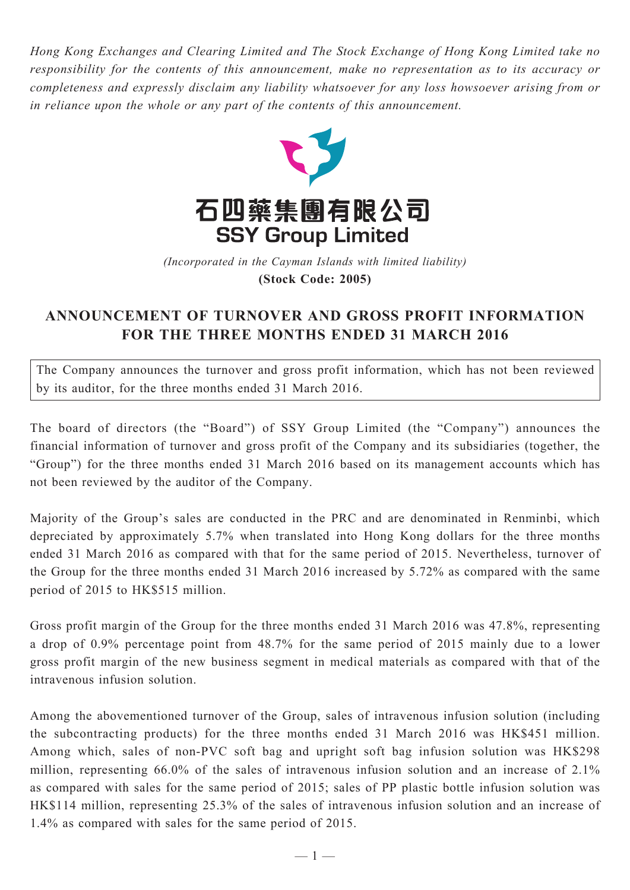*Hong Kong Exchanges and Clearing Limited and The Stock Exchange of Hong Kong Limited take no responsibility for the contents of this announcement, make no representation as to its accuracy or completeness and expressly disclaim any liability whatsoever for any loss howsoever arising from or in reliance upon the whole or any part of the contents of this announcement.*



*(Incorporated in the Cayman Islands with limited liability)* **(Stock Code: 2005)**

## **ANNOUNCEMENT OF TURNOVER AND GROSS PROFIT INFORMATION FOR THE THREE MONTHS ENDED 31 MARCH 2016**

The Company announces the turnover and gross profit information, which has not been reviewed by its auditor, for the three months ended 31 March 2016.

The board of directors (the "Board") of SSY Group Limited (the "Company") announces the financial information of turnover and gross profit of the Company and its subsidiaries (together, the "Group") for the three months ended 31 March 2016 based on its management accounts which has not been reviewed by the auditor of the Company.

Majority of the Group's sales are conducted in the PRC and are denominated in Renminbi, which depreciated by approximately 5.7% when translated into Hong Kong dollars for the three months ended 31 March 2016 as compared with that for the same period of 2015. Nevertheless, turnover of the Group for the three months ended 31 March 2016 increased by 5.72% as compared with the same period of 2015 to HK\$515 million.

Gross profit margin of the Group for the three months ended 31 March 2016 was 47.8%, representing a drop of 0.9% percentage point from 48.7% for the same period of 2015 mainly due to a lower gross profit margin of the new business segment in medical materials as compared with that of the intravenous infusion solution.

Among the abovementioned turnover of the Group, sales of intravenous infusion solution (including the subcontracting products) for the three months ended 31 March 2016 was HK\$451 million. Among which, sales of non-PVC soft bag and upright soft bag infusion solution was HK\$298 million, representing 66.0% of the sales of intravenous infusion solution and an increase of 2.1% as compared with sales for the same period of 2015; sales of PP plastic bottle infusion solution was HK\$114 million, representing 25.3% of the sales of intravenous infusion solution and an increase of 1.4% as compared with sales for the same period of 2015.